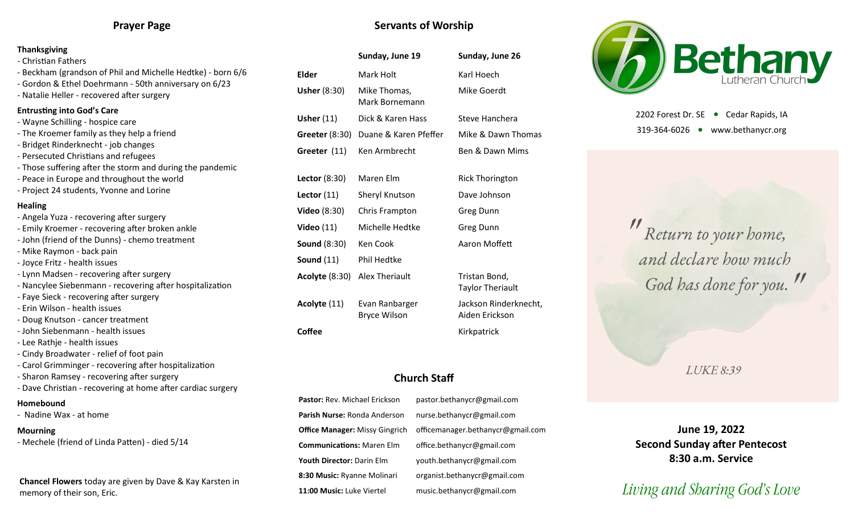## **Prayer Page**

### **Thanksgiving**

- Christian Fathers
- Beckham (grandson of Phil and Michelle Hedtke) born 6/6
- Gordon & Ethel Doehrmann 50th anniversary on 6/23
- Natalie Heller recovered after surgery

## **Entrusting into God's Care**

- Wayne Schilling hospice care
- The Kroemer family as they help a friend
- Bridget Rinderknecht job changes
- Persecuted Christians and refugees
- Those suffering after the storm and during the pandemic
- Peace in Europe and throughout the world
- Project 24 students, Yvonne and Lorine

### **Healing**

- Angela Yuza recovering after surgery - Emily Kroemer - recovering after broken ankle - John (friend of the Dunns) - chemo treatment - Mike Raymon - back pain - Joyce Fritz - health issues - Lynn Madsen - recovering after surgery - Nancylee Siebenmann - recovering after hospitalization - Faye Sieck - recovering after surgery - Erin Wilson - health issues
- Doug Knutson cancer treatment
- John Siebenmann health issues
- Lee Rathje health issues
- Cindy Broadwater relief of foot pain
- Carol Grimminger recovering after hospitalization
- Sharon Ramsey recovering after surgery
- Dave Christian recovering at home after cardiac surgery

### **Homebound**

- Nadine Wax - at home

## **Mourning**

- Mechele (friend of Linda Patten) - died 5/14

**Chancel Flowers** today are given by Dave & Kay Karsten in memory of their son, Eric.

## **Servants of Worship**

|                       | Sunday, June 19                | Sunday, June 26<br>Karl Hoech            |  |
|-----------------------|--------------------------------|------------------------------------------|--|
| Elder                 | Mark Holt                      |                                          |  |
| <b>Usher (8:30)</b>   | Mike Thomas,<br>Mark Bornemann | Mike Goerdt                              |  |
| Usher $(11)$          | Dick & Karen Hass              | Steve Hanchera                           |  |
| <b>Greeter (8:30)</b> | Duane & Karen Pfeffer          | Mike & Dawn Thomas                       |  |
| Greeter (11)          | Ken Armbrecht                  | Ben & Dawn Mims                          |  |
| Lector $(8:30)$       | Maren Elm                      | <b>Rick Thorington</b>                   |  |
| Lector $(11)$         | Sheryl Knutson                 | Dave Johnson                             |  |
| <b>Video</b> (8:30)   | Chris Frampton                 | Greg Dunn                                |  |
| Video $(11)$          | Michelle Hedtke                | Greg Dunn                                |  |
| <b>Sound (8:30)</b>   | Ken Cook                       | Aaron Moffett                            |  |
| Sound $(11)$          | Phil Hedtke                    |                                          |  |
| <b>Acolyte (8:30)</b> | Alex Theriault                 | Tristan Bond,<br><b>Taylor Theriault</b> |  |
| Acolyte (11)          | Evan Ranbarger                 | Jackson Rinderknecht,                    |  |

Bryce Wilson

ault erknecht, Aiden Erickson **Coffee** Kirkpatrick

## **Church Staff**

Pastor: Rev. Michael Erickson pastor.bethanycr@gmail.com **Parish Nurse:** Ronda Anderson nurse.bethanycr@gmail.com **Office Manager:** Missy Gingrich officemanager.bethanycr@gmail.com **Communications:** Maren Elm office.bethanycr@gmail.com **Youth Director:** Darin Elm youth.bethanycr@gmail.com **8:30 Music:** Ryanne Molinari organist.bethanycr@gmail.com **11:00 Music:** Luke Viertel music.bethanycr@gmail.com



2202 Forest Dr. SE ● Cedar Rapids, IA 319-364-6026 www.bethanycr.org

"Return to your home, and declare how much God has done for you."

**LUKE 8:39** 

**June 19, 2022 Second Sunday after Pentecost 8:30 a.m. Service**

# *Living and Sharing God's Love*